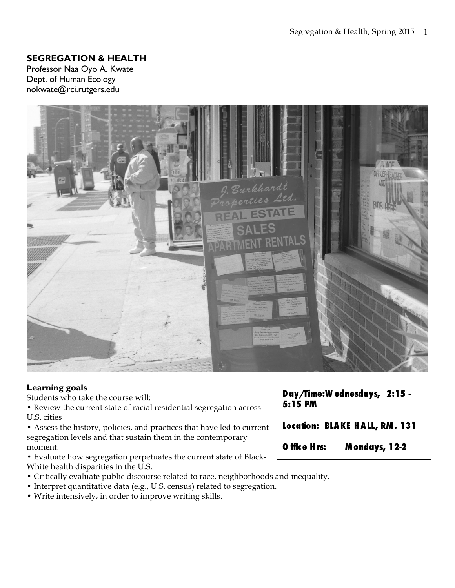# **SEGREGATION & HEALTH**

Professor Naa Oyo A. Kwate Dept. of Human Ecology nokwate@rci.rutgers.edu



# **Learning goals**

Students who take the course will:

• Review the current state of racial residential segregation across U.S. cities

• Assess the history, policies, and practices that have led to current segregation levels and that sustain them in the contemporary moment.

• Evaluate how segregation perpetuates the current state of Black-White health disparities in the U.S.

- Critically evaluate public discourse related to race, neighborhoods and inequality.
- Interpret quantitative data (e.g., U.S. census) related to segregation.
- Write intensively, in order to improve writing skills.

**Day/Time:W ednesdays, 2:15 - 5:15 PM Location: BLAKE HALL, RM. 131 O ffice Hrs: Mondays, 12-2**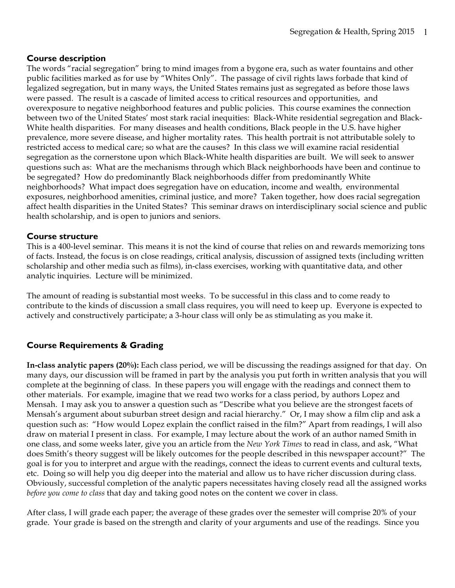## **Course description**

The words "racial segregation" bring to mind images from a bygone era, such as water fountains and other public facilities marked as for use by "Whites Only". The passage of civil rights laws forbade that kind of legalized segregation, but in many ways, the United States remains just as segregated as before those laws were passed. The result is a cascade of limited access to critical resources and opportunities, and overexposure to negative neighborhood features and public policies. This course examines the connection between two of the United States' most stark racial inequities: Black-White residential segregation and Black-White health disparities. For many diseases and health conditions, Black people in the U.S. have higher prevalence, more severe disease, and higher mortality rates. This health portrait is not attributable solely to restricted access to medical care; so what are the causes? In this class we will examine racial residential segregation as the cornerstone upon which Black-White health disparities are built. We will seek to answer questions such as: What are the mechanisms through which Black neighborhoods have been and continue to be segregated? How do predominantly Black neighborhoods differ from predominantly White neighborhoods? What impact does segregation have on education, income and wealth, environmental exposures, neighborhood amenities, criminal justice, and more? Taken together, how does racial segregation affect health disparities in the United States? This seminar draws on interdisciplinary social science and public health scholarship, and is open to juniors and seniors.

## **Course structure**

This is a 400-level seminar. This means it is not the kind of course that relies on and rewards memorizing tons of facts. Instead, the focus is on close readings, critical analysis, discussion of assigned texts (including written scholarship and other media such as films), in-class exercises, working with quantitative data, and other analytic inquiries. Lecture will be minimized.

The amount of reading is substantial most weeks. To be successful in this class and to come ready to contribute to the kinds of discussion a small class requires, you will need to keep up. Everyone is expected to actively and constructively participate; a 3-hour class will only be as stimulating as you make it.

# **Course Requirements & Grading**

**In-class analytic papers (20%):** Each class period, we will be discussing the readings assigned for that day. On many days, our discussion will be framed in part by the analysis you put forth in written analysis that you will complete at the beginning of class. In these papers you will engage with the readings and connect them to other materials. For example, imagine that we read two works for a class period, by authors Lopez and Mensah. I may ask you to answer a question such as "Describe what you believe are the strongest facets of Mensah's argument about suburban street design and racial hierarchy." Or, I may show a film clip and ask a question such as: "How would Lopez explain the conflict raised in the film?" Apart from readings, I will also draw on material I present in class. For example, I may lecture about the work of an author named Smith in one class, and some weeks later, give you an article from the *New York Times* to read in class, and ask, "What does Smith's theory suggest will be likely outcomes for the people described in this newspaper account?" The goal is for you to interpret and argue with the readings, connect the ideas to current events and cultural texts, etc. Doing so will help you dig deeper into the material and allow us to have richer discussion during class. Obviously, successful completion of the analytic papers necessitates having closely read all the assigned works *before you come to class* that day and taking good notes on the content we cover in class.

After class, I will grade each paper; the average of these grades over the semester will comprise 20% of your grade. Your grade is based on the strength and clarity of your arguments and use of the readings. Since you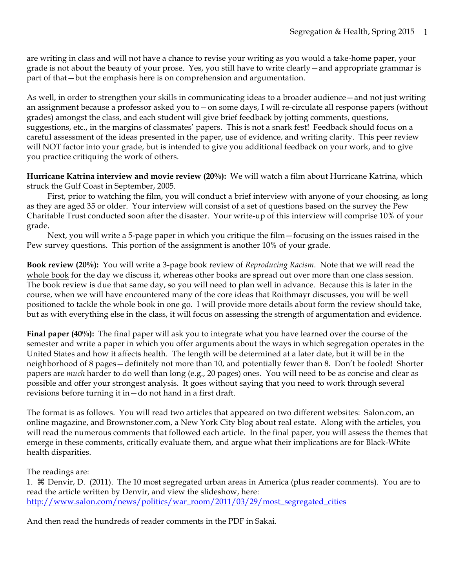are writing in class and will not have a chance to revise your writing as you would a take-home paper, your grade is not about the beauty of your prose. Yes, you still have to write clearly—and appropriate grammar is part of that—but the emphasis here is on comprehension and argumentation.

As well, in order to strengthen your skills in communicating ideas to a broader audience—and not just writing an assignment because a professor asked you to—on some days, I will re-circulate all response papers (without grades) amongst the class, and each student will give brief feedback by jotting comments, questions, suggestions, etc., in the margins of classmates' papers. This is not a snark fest! Feedback should focus on a careful assessment of the ideas presented in the paper, use of evidence, and writing clarity. This peer review will NOT factor into your grade, but is intended to give you additional feedback on your work, and to give you practice critiquing the work of others.

**Hurricane Katrina interview and movie review (20%):** We will watch a film about Hurricane Katrina, which struck the Gulf Coast in September, 2005.

First, prior to watching the film, you will conduct a brief interview with anyone of your choosing, as long as they are aged 35 or older. Your interview will consist of a set of questions based on the survey the Pew Charitable Trust conducted soon after the disaster. Your write-up of this interview will comprise 10% of your grade.

Next, you will write a 5-page paper in which you critique the film—focusing on the issues raised in the Pew survey questions. This portion of the assignment is another 10% of your grade.

**Book review (20%):** You will write a 3-page book review of *Reproducing Racism*. Note that we will read the whole book for the day we discuss it, whereas other books are spread out over more than one class session. The book review is due that same day, so you will need to plan well in advance. Because this is later in the course, when we will have encountered many of the core ideas that Roithmayr discusses, you will be well positioned to tackle the whole book in one go. I will provide more details about form the review should take, but as with everything else in the class, it will focus on assessing the strength of argumentation and evidence.

**Final paper (40%):** The final paper will ask you to integrate what you have learned over the course of the semester and write a paper in which you offer arguments about the ways in which segregation operates in the United States and how it affects health. The length will be determined at a later date, but it will be in the neighborhood of 8 pages—definitely not more than 10, and potentially fewer than 8. Don't be fooled! Shorter papers are *much* harder to do well than long (e.g., 20 pages) ones. You will need to be as concise and clear as possible and offer your strongest analysis. It goes without saying that you need to work through several revisions before turning it in—do not hand in a first draft.

The format is as follows. You will read two articles that appeared on two different websites: Salon.com, an online magazine, and Brownstoner.com, a New York City blog about real estate. Along with the articles, you will read the numerous comments that followed each article. In the final paper, you will assess the themes that emerge in these comments, critically evaluate them, and argue what their implications are for Black-White health disparities.

The readings are:

1. ⌘ Denvir, D. (2011). The 10 most segregated urban areas in America (plus reader comments). You are to read the article written by Denvir, and view the slideshow, here: http://www.salon.com/news/politics/war\_room/2011/03/29/most\_segregated\_cities

And then read the hundreds of reader comments in the PDF in Sakai.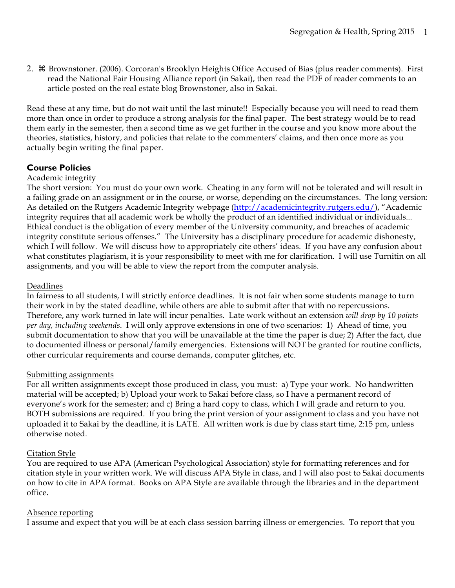2. ⌘ Brownstoner. (2006). Corcoran's Brooklyn Heights Office Accused of Bias (plus reader comments). First read the National Fair Housing Alliance report (in Sakai), then read the PDF of reader comments to an article posted on the real estate blog Brownstoner, also in Sakai.

Read these at any time, but do not wait until the last minute!! Especially because you will need to read them more than once in order to produce a strong analysis for the final paper. The best strategy would be to read them early in the semester, then a second time as we get further in the course and you know more about the theories, statistics, history, and policies that relate to the commenters' claims, and then once more as you actually begin writing the final paper.

# **Course Policies**

## Academic integrity

The short version: You must do your own work. Cheating in any form will not be tolerated and will result in a failing grade on an assignment or in the course, or worse, depending on the circumstances. The long version: As detailed on the Rutgers Academic Integrity webpage (http://academicintegrity.rutgers.edu/), "Academic integrity requires that all academic work be wholly the product of an identified individual or individuals... Ethical conduct is the obligation of every member of the University community, and breaches of academic integrity constitute serious offenses." The University has a disciplinary procedure for academic dishonesty, which I will follow. We will discuss how to appropriately cite others' ideas. If you have any confusion about what constitutes plagiarism, it is your responsibility to meet with me for clarification. I will use Turnitin on all assignments, and you will be able to view the report from the computer analysis.

## Deadlines

In fairness to all students, I will strictly enforce deadlines. It is not fair when some students manage to turn their work in by the stated deadline, while others are able to submit after that with no repercussions. Therefore, any work turned in late will incur penalties. Late work without an extension *will drop by 10 points per day, including weekends*. I will only approve extensions in one of two scenarios: 1) Ahead of time, you submit documentation to show that you will be unavailable at the time the paper is due; 2) After the fact, due to documented illness or personal/family emergencies. Extensions will NOT be granted for routine conflicts, other curricular requirements and course demands, computer glitches, etc.

## Submitting assignments

For all written assignments except those produced in class, you must: a) Type your work. No handwritten material will be accepted; b) Upload your work to Sakai before class, so I have a permanent record of everyone's work for the semester; and c) Bring a hard copy to class, which I will grade and return to you. BOTH submissions are required. If you bring the print version of your assignment to class and you have not uploaded it to Sakai by the deadline, it is LATE. All written work is due by class start time, 2:15 pm, unless otherwise noted.

## Citation Style

You are required to use APA (American Psychological Association) style for formatting references and for citation style in your written work. We will discuss APA Style in class, and I will also post to Sakai documents on how to cite in APA format. Books on APA Style are available through the libraries and in the department office.

## Absence reporting

I assume and expect that you will be at each class session barring illness or emergencies. To report that you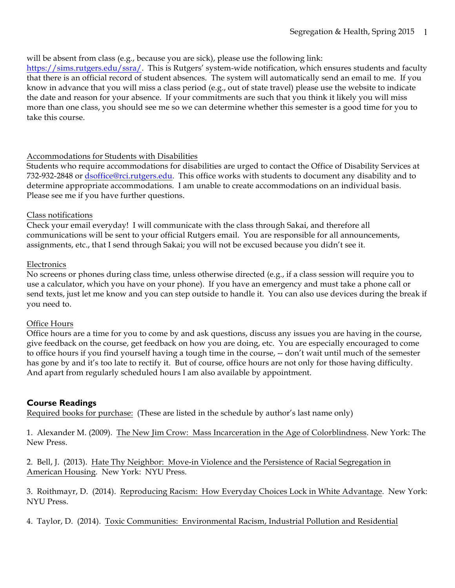## will be absent from class (e.g., because you are sick), please use the following link:

https://sims.rutgers.edu/ssra/. This is Rutgers' system-wide notification, which ensures students and faculty that there is an official record of student absences. The system will automatically send an email to me. If you know in advance that you will miss a class period (e.g., out of state travel) please use the website to indicate the date and reason for your absence. If your commitments are such that you think it likely you will miss more than one class, you should see me so we can determine whether this semester is a good time for you to take this course.

## Accommodations for Students with Disabilities

Students who require accommodations for disabilities are urged to contact the Office of Disability Services at 732-932-2848 or dsoffice@rci.rutgers.edu. This office works with students to document any disability and to determine appropriate accommodations. I am unable to create accommodations on an individual basis. Please see me if you have further questions.

## Class notifications

Check your email everyday! I will communicate with the class through Sakai, and therefore all communications will be sent to your official Rutgers email. You are responsible for all announcements, assignments, etc., that I send through Sakai; you will not be excused because you didn't see it.

## Electronics

No screens or phones during class time, unless otherwise directed (e.g., if a class session will require you to use a calculator, which you have on your phone). If you have an emergency and must take a phone call or send texts, just let me know and you can step outside to handle it. You can also use devices during the break if you need to.

## Office Hours

Office hours are a time for you to come by and ask questions, discuss any issues you are having in the course, give feedback on the course, get feedback on how you are doing, etc. You are especially encouraged to come to office hours if you find yourself having a tough time in the course, -- don't wait until much of the semester has gone by and it's too late to rectify it. But of course, office hours are not only for those having difficulty. And apart from regularly scheduled hours I am also available by appointment.

# **Course Readings**

Required books for purchase: (These are listed in the schedule by author's last name only)

1. Alexander M. (2009). The New Jim Crow: Mass Incarceration in the Age of Colorblindness. New York: The New Press.

2. Bell, J. (2013). Hate Thy Neighbor: Move-in Violence and the Persistence of Racial Segregation in American Housing. New York: NYU Press.

3. Roithmayr, D. (2014). Reproducing Racism: How Everyday Choices Lock in White Advantage. New York: NYU Press.

4. Taylor, D. (2014). Toxic Communities: Environmental Racism, Industrial Pollution and Residential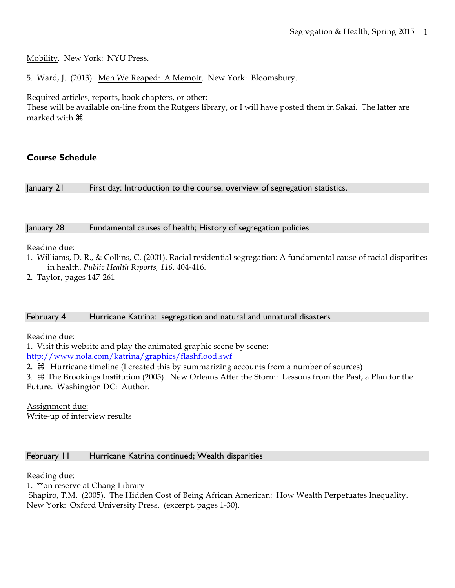Mobility. New York: NYU Press.

5. Ward, J. (2013). Men We Reaped: A Memoir. New York: Bloomsbury.

## Required articles, reports, book chapters, or other:

These will be available on-line from the Rutgers library, or I will have posted them in Sakai. The latter are marked with ⌘

# **Course Schedule**

January 21 First day: Introduction to the course, overview of segregation statistics.

#### January 28 Fundamental causes of health; History of segregation policies

## Reading due:

- 1. Williams, D. R., & Collins, C. (2001). Racial residential segregation: A fundamental cause of racial disparities in health. *Public Health Reports, 116*, 404-416.
- 2. Taylor, pages 147-261

## February 4 Hurricane Katrina: segregation and natural and unnatural disasters

## Reading due:

1. Visit this website and play the animated graphic scene by scene:

http://www.nola.com/katrina/graphics/flashflood.swf

2. ⌘ Hurricane timeline (I created this by summarizing accounts from a number of sources)

3. ⌘ The Brookings Institution (2005). New Orleans After the Storm: Lessons from the Past, a Plan for the Future. Washington DC: Author.

Assignment due: Write-up of interview results

## February 11 Hurricane Katrina continued; Wealth disparities

## Reading due:

1. \*\*on reserve at Chang Library

Shapiro, T.M. (2005). The Hidden Cost of Being African American: How Wealth Perpetuates Inequality. New York: Oxford University Press. (excerpt, pages 1-30).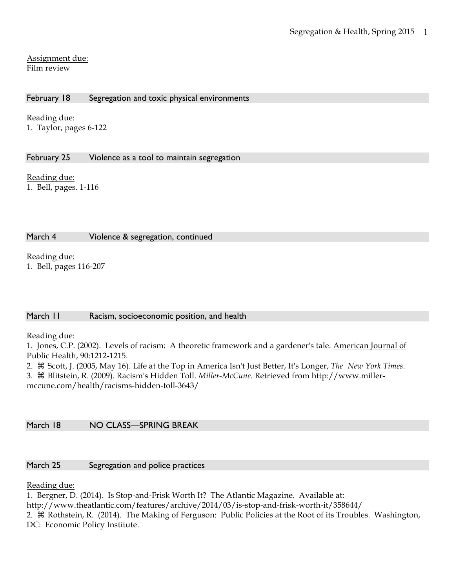## Assignment due: Film review

February 18 Segregation and toxic physical environments

Reading due: 1. Taylor, pages 6-122

February 25 Violence as a tool to maintain segregation

Reading due: 1. Bell, pages. 1-116

## March 4 Violence & segregation, continued

Reading due: 1. Bell, pages 116-207

## March 11 Racism, socioeconomic position, and health

Reading due:

1. Jones, C.P. (2002). Levels of racism: A theoretic framework and a gardener's tale. American Journal of Public Health, 90:1212-1215.

2. ⌘ Scott, J. (2005, May 16). Life at the Top in America Isn't Just Better, It's Longer, *The New York Times*.

3. ⌘ Blitstein, R. (2009). Racism's Hidden Toll. *Miller-McCune*. Retrieved from http://www.miller-

mccune.com/health/racisms-hidden-toll-3643/

# March 18 NO CLASS—SPRING BREAK

# March 25 Segregation and police practices

Reading due:

1. Bergner, D. (2014). Is Stop-and-Frisk Worth It? The Atlantic Magazine. Available at:

http://www.theatlantic.com/features/archive/2014/03/is-stop-and-frisk-worth-it/358644/

2. ⌘ Rothstein, R. (2014). The Making of Ferguson: Public Policies at the Root of its Troubles. Washington, DC: Economic Policy Institute.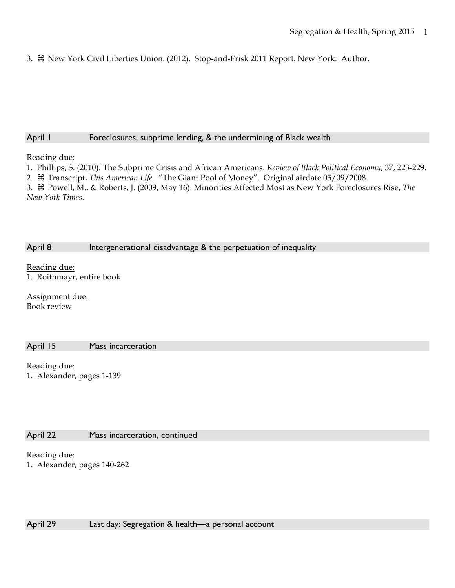3. ⌘ New York Civil Liberties Union. (2012). Stop-and-Frisk 2011 Report. New York: Author.

## April 1 Foreclosures, subprime lending, & the undermining of Black wealth

## Reading due:

1. Phillips, S. (2010). The Subprime Crisis and African Americans. *Review of Black Political Economy*, 37, 223-229.

2. ⌘ Transcript, *This American Life*. "The Giant Pool of Money". Original airdate 05/09/2008.

3. ⌘ Powell, M., & Roberts, J. (2009, May 16). Minorities Affected Most as New York Foreclosures Rise, *The New York Times*.

# April 8 Intergenerational disadvantage & the perpetuation of inequality

Reading due: 1. Roithmayr, entire book

Assignment due: Book review

# April 15 Mass incarceration

Reading due: 1. Alexander, pages 1-139

# April 22 Mass incarceration, continued

Reading due: 1. Alexander, pages 140-262

April 29 Last day: Segregation & health—a personal account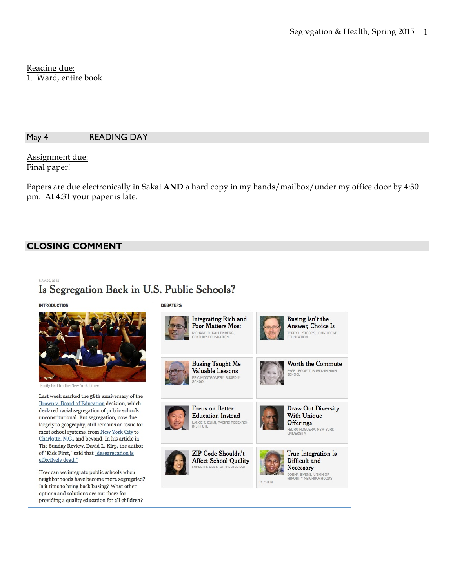Reading due: 1. Ward, entire book

#### May 4 READING DAY

Assignment due: Final paper!

Papers are due electronically in Sakai **AND** a hard copy in my hands/mailbox/under my office door by 4:30 pm. At 4:31 your paper is late.

# **CLOSING COMMENT**

#### MAY 20, 2012



#### **INTRODUCTION**



Emily Berl for the New York Times

Last week marked the 58th anniversary of the Brown v. Board of Education decision, which  $\,$  declared racial segregation of public schools unconstitutional. But segregation, now due largely to geography, still remains an issue for most school systems, from New York City to Charlotte, N.C., and beyond. In his article in The Sunday Review, David L. Kirp, the author of "Kids First," said that "desegregation is effectively dead."

How can we integrate public schools when neighborhoods have become more segregated? Is it time to bring back busing? What other options and solutions are out there for providing a quality education for all children?